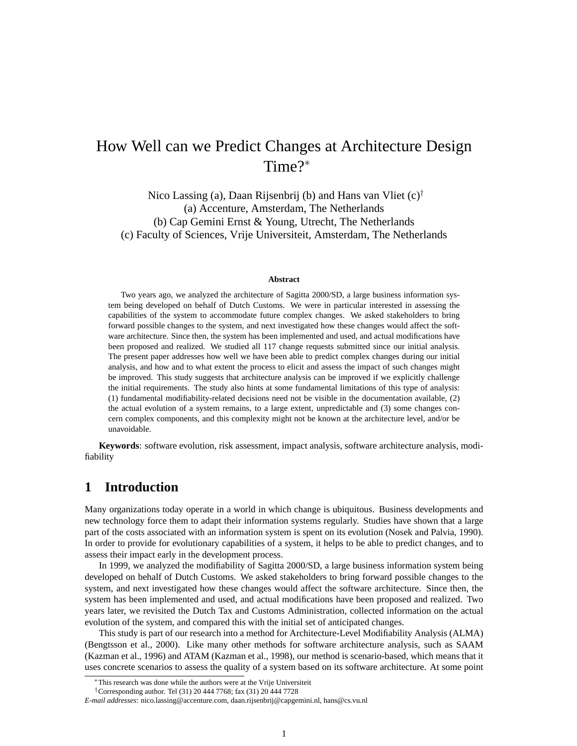# How Well can we Predict Changes at Architecture Design Time?<sup>∗</sup>

Nico Lassing (a), Daan Rijsenbrij (b) and Hans van Vliet  $(c)$ <sup>†</sup> (a) Accenture, Amsterdam, The Netherlands (b) Cap Gemini Ernst & Young, Utrecht, The Netherlands (c) Faculty of Sciences, Vrije Universiteit, Amsterdam, The Netherlands

#### **Abstract**

Two years ago, we analyzed the architecture of Sagitta 2000/SD, a large business information system being developed on behalf of Dutch Customs. We were in particular interested in assessing the capabilities of the system to accommodate future complex changes. We asked stakeholders to bring forward possible changes to the system, and next investigated how these changes would affect the software architecture. Since then, the system has been implemented and used, and actual modifications have been proposed and realized. We studied all 117 change requests submitted since our initial analysis. The present paper addresses how well we have been able to predict complex changes during our initial analysis, and how and to what extent the process to elicit and assess the impact of such changes might be improved. This study suggests that architecture analysis can be improved if we explicitly challenge the initial requirements. The study also hints at some fundamental limitations of this type of analysis: (1) fundamental modifiability-related decisions need not be visible in the documentation available, (2) the actual evolution of a system remains, to a large extent, unpredictable and (3) some changes concern complex components, and this complexity might not be known at the architecture level, and/or be unavoidable.

**Keywords**: software evolution, risk assessment, impact analysis, software architecture analysis, modifiability

### **1 Introduction**

Many organizations today operate in a world in which change is ubiquitous. Business developments and new technology force them to adapt their information systems regularly. Studies have shown that a large part of the costs associated with an information system is spent on its evolution (Nosek and Palvia, 1990). In order to provide for evolutionary capabilities of a system, it helps to be able to predict changes, and to assess their impact early in the development process.

In 1999, we analyzed the modifiability of Sagitta 2000/SD, a large business information system being developed on behalf of Dutch Customs. We asked stakeholders to bring forward possible changes to the system, and next investigated how these changes would affect the software architecture. Since then, the system has been implemented and used, and actual modifications have been proposed and realized. Two years later, we revisited the Dutch Tax and Customs Administration, collected information on the actual evolution of the system, and compared this with the initial set of anticipated changes.

This study is part of our research into a method for Architecture-Level Modifiability Analysis (ALMA) (Bengtsson et al., 2000). Like many other methods for software architecture analysis, such as SAAM (Kazman et al., 1996) and ATAM (Kazman et al., 1998), our method is scenario-based, which means that it uses concrete scenarios to assess the quality of a system based on its software architecture. At some point

<sup>∗</sup>This research was done while the authors were at the Vrije Universiteit

<sup>†</sup>Corresponding author. Tel (31) 20 444 7768; fax (31) 20 444 7728

*E-mail addresses*: nico.lassing@accenture.com, daan.rijsenbrij@capgemini.nl, hans@cs.vu.nl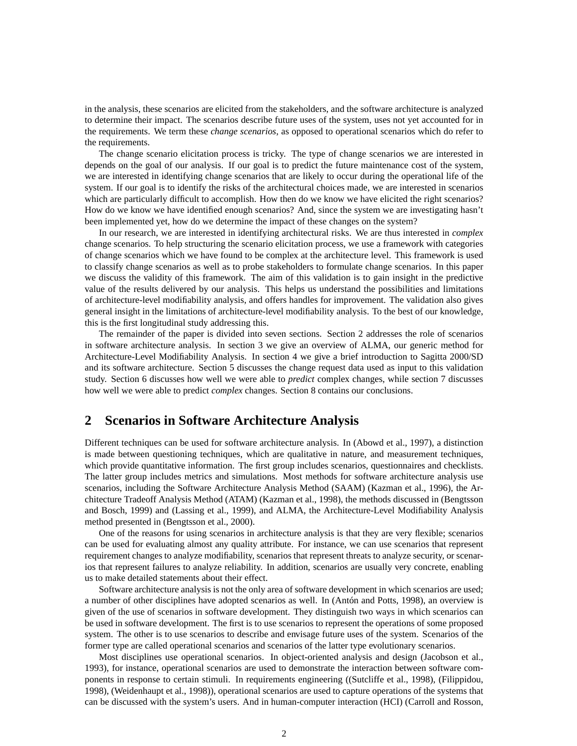in the analysis, these scenarios are elicited from the stakeholders, and the software architecture is analyzed to determine their impact. The scenarios describe future uses of the system, uses not yet accounted for in the requirements. We term these *change scenarios*, as opposed to operational scenarios which do refer to the requirements.

The change scenario elicitation process is tricky. The type of change scenarios we are interested in depends on the goal of our analysis. If our goal is to predict the future maintenance cost of the system, we are interested in identifying change scenarios that are likely to occur during the operational life of the system. If our goal is to identify the risks of the architectural choices made, we are interested in scenarios which are particularly difficult to accomplish. How then do we know we have elicited the right scenarios? How do we know we have identified enough scenarios? And, since the system we are investigating hasn't been implemented yet, how do we determine the impact of these changes on the system?

In our research, we are interested in identifying architectural risks. We are thus interested in *complex* change scenarios. To help structuring the scenario elicitation process, we use a framework with categories of change scenarios which we have found to be complex at the architecture level. This framework is used to classify change scenarios as well as to probe stakeholders to formulate change scenarios. In this paper we discuss the validity of this framework. The aim of this validation is to gain insight in the predictive value of the results delivered by our analysis. This helps us understand the possibilities and limitations of architecture-level modifiability analysis, and offers handles for improvement. The validation also gives general insight in the limitations of architecture-level modifiability analysis. To the best of our knowledge, this is the first longitudinal study addressing this.

The remainder of the paper is divided into seven sections. Section 2 addresses the role of scenarios in software architecture analysis. In section 3 we give an overview of ALMA, our generic method for Architecture-Level Modifiability Analysis. In section 4 we give a brief introduction to Sagitta 2000/SD and its software architecture. Section 5 discusses the change request data used as input to this validation study. Section 6 discusses how well we were able to *predict* complex changes, while section 7 discusses how well we were able to predict *complex* changes. Section 8 contains our conclusions.

### **2 Scenarios in Software Architecture Analysis**

Different techniques can be used for software architecture analysis. In (Abowd et al., 1997), a distinction is made between questioning techniques, which are qualitative in nature, and measurement techniques, which provide quantitative information. The first group includes scenarios, questionnaires and checklists. The latter group includes metrics and simulations. Most methods for software architecture analysis use scenarios, including the Software Architecture Analysis Method (SAAM) (Kazman et al., 1996), the Architecture Tradeoff Analysis Method (ATAM) (Kazman et al., 1998), the methods discussed in (Bengtsson and Bosch, 1999) and (Lassing et al., 1999), and ALMA, the Architecture-Level Modifiability Analysis method presented in (Bengtsson et al., 2000).

One of the reasons for using scenarios in architecture analysis is that they are very flexible; scenarios can be used for evaluating almost any quality attribute. For instance, we can use scenarios that represent requirement changes to analyze modifiability, scenarios that represent threats to analyze security, or scenarios that represent failures to analyze reliability. In addition, scenarios are usually very concrete, enabling us to make detailed statements about their effect.

Software architecture analysis is not the only area of software development in which scenarios are used; a number of other disciplines have adopted scenarios as well. In (Antón and Potts, 1998), an overview is given of the use of scenarios in software development. They distinguish two ways in which scenarios can be used in software development. The first is to use scenarios to represent the operations of some proposed system. The other is to use scenarios to describe and envisage future uses of the system. Scenarios of the former type are called operational scenarios and scenarios of the latter type evolutionary scenarios.

Most disciplines use operational scenarios. In object-oriented analysis and design (Jacobson et al., 1993), for instance, operational scenarios are used to demonstrate the interaction between software components in response to certain stimuli. In requirements engineering ((Sutcliffe et al., 1998), (Filippidou, 1998), (Weidenhaupt et al., 1998)), operational scenarios are used to capture operations of the systems that can be discussed with the system's users. And in human-computer interaction (HCI) (Carroll and Rosson,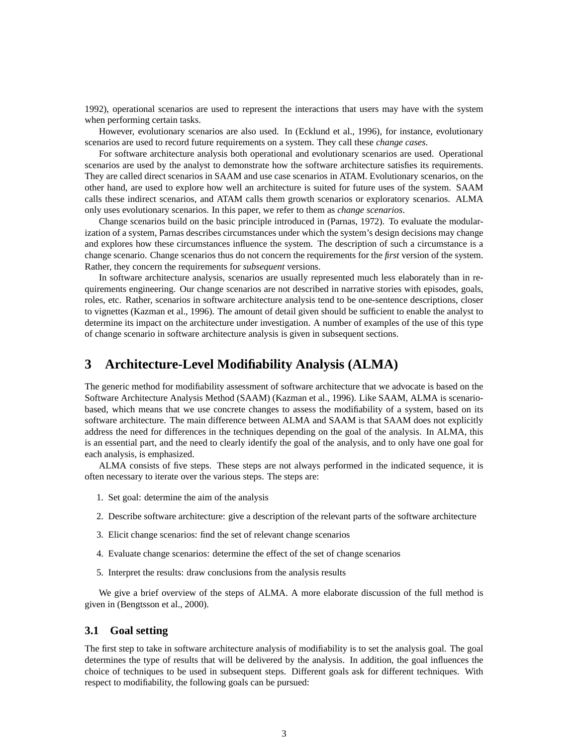1992), operational scenarios are used to represent the interactions that users may have with the system when performing certain tasks.

However, evolutionary scenarios are also used. In (Ecklund et al., 1996), for instance, evolutionary scenarios are used to record future requirements on a system. They call these *change cases*.

For software architecture analysis both operational and evolutionary scenarios are used. Operational scenarios are used by the analyst to demonstrate how the software architecture satisfies its requirements. They are called direct scenarios in SAAM and use case scenarios in ATAM. Evolutionary scenarios, on the other hand, are used to explore how well an architecture is suited for future uses of the system. SAAM calls these indirect scenarios, and ATAM calls them growth scenarios or exploratory scenarios. ALMA only uses evolutionary scenarios. In this paper, we refer to them as *change scenarios*.

Change scenarios build on the basic principle introduced in (Parnas, 1972). To evaluate the modularization of a system, Parnas describes circumstances under which the system's design decisions may change and explores how these circumstances influence the system. The description of such a circumstance is a change scenario. Change scenarios thus do not concern the requirements for the *first* version of the system. Rather, they concern the requirements for *subsequent* versions.

In software architecture analysis, scenarios are usually represented much less elaborately than in requirements engineering. Our change scenarios are not described in narrative stories with episodes, goals, roles, etc. Rather, scenarios in software architecture analysis tend to be one-sentence descriptions, closer to vignettes (Kazman et al., 1996). The amount of detail given should be sufficient to enable the analyst to determine its impact on the architecture under investigation. A number of examples of the use of this type of change scenario in software architecture analysis is given in subsequent sections.

## **3 Architecture-Level Modifiability Analysis (ALMA)**

The generic method for modifiability assessment of software architecture that we advocate is based on the Software Architecture Analysis Method (SAAM) (Kazman et al., 1996). Like SAAM, ALMA is scenariobased, which means that we use concrete changes to assess the modifiability of a system, based on its software architecture. The main difference between ALMA and SAAM is that SAAM does not explicitly address the need for differences in the techniques depending on the goal of the analysis. In ALMA, this is an essential part, and the need to clearly identify the goal of the analysis, and to only have one goal for each analysis, is emphasized.

ALMA consists of five steps. These steps are not always performed in the indicated sequence, it is often necessary to iterate over the various steps. The steps are:

- 1. Set goal: determine the aim of the analysis
- 2. Describe software architecture: give a description of the relevant parts of the software architecture
- 3. Elicit change scenarios: find the set of relevant change scenarios
- 4. Evaluate change scenarios: determine the effect of the set of change scenarios
- 5. Interpret the results: draw conclusions from the analysis results

We give a brief overview of the steps of ALMA. A more elaborate discussion of the full method is given in (Bengtsson et al., 2000).

#### **3.1 Goal setting**

The first step to take in software architecture analysis of modifiability is to set the analysis goal. The goal determines the type of results that will be delivered by the analysis. In addition, the goal influences the choice of techniques to be used in subsequent steps. Different goals ask for different techniques. With respect to modifiability, the following goals can be pursued: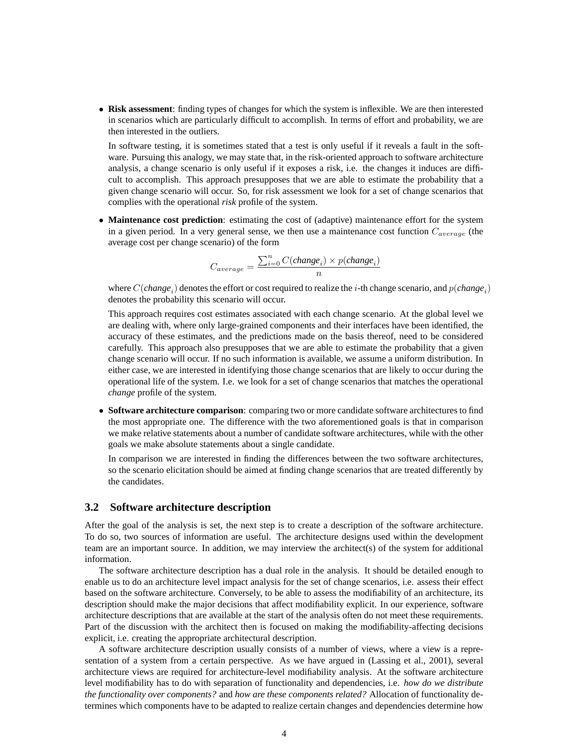• **Risk assessment**: finding types of changes for which the system is inflexible. We are then interested in scenarios which are particularly difficult to accomplish. In terms of effort and probability, we are then interested in the outliers.

In software testing, it is sometimes stated that a test is only useful if it reveals a fault in the software. Pursuing this analogy, we may state that, in the risk-oriented approach to software architecture analysis, a change scenario is only useful if it exposes a risk, i.e. the changes it induces are difficult to accomplish. This approach presupposes that we are able to estimate the probability that a given change scenario will occur. So, for risk assessment we look for a set of change scenarios that complies with the operational *risk* profile of the system.

• **Maintenance cost prediction**: estimating the cost of (adaptive) maintenance effort for the system in a given period. In a very general sense, we then use a maintenance cost function  $C_{average}$  (the average cost per change scenario) of the form

$$
C_{average} = \frac{\sum_{i=0}^{n} C(change_i) \times p(change_i)}{n}
$$

where  $C(change_i)$  denotes the effort or cost required to realize the *i*-th change scenario, and  $p(change_i)$ denotes the probability this scenario will occur.

This approach requires cost estimates associated with each change scenario. At the global level we are dealing with, where only large-grained components and their interfaces have been identified, the accuracy of these estimates, and the predictions made on the basis thereof, need to be considered carefully. This approach also presupposes that we are able to estimate the probability that a given change scenario will occur. If no such information is available, we assume a uniform distribution. In either case, we are interested in identifying those change scenarios that are likely to occur during the operational life of the system. I.e. we look for a set of change scenarios that matches the operational *change* profile of the system.

• **Software architecture comparison**: comparing two or more candidate software architectures to find the most appropriate one. The difference with the two aforementioned goals is that in comparison we make relative statements about a number of candidate software architectures, while with the other goals we make absolute statements about a single candidate.

In comparison we are interested in finding the differences between the two software architectures, so the scenario elicitation should be aimed at finding change scenarios that are treated differently by the candidates.

#### **3.2 Software architecture description**

After the goal of the analysis is set, the next step is to create a description of the software architecture. To do so, two sources of information are useful. The architecture designs used within the development team are an important source. In addition, we may interview the architect(s) of the system for additional information.

The software architecture description has a dual role in the analysis. It should be detailed enough to enable us to do an architecture level impact analysis for the set of change scenarios, i.e. assess their effect based on the software architecture. Conversely, to be able to assess the modifiability of an architecture, its description should make the major decisions that affect modifiability explicit. In our experience, software architecture descriptions that are available at the start of the analysis often do not meet these requirements. Part of the discussion with the architect then is focused on making the modifiability-affecting decisions explicit, i.e. creating the appropriate architectural description.

A software architecture description usually consists of a number of views, where a view is a representation of a system from a certain perspective. As we have argued in (Lassing et al., 2001), several architecture views are required for architecture-level modifiability analysis. At the software architecture level modifiability has to do with separation of functionality and dependencies, i.e. *how do we distribute the functionality over components?* and *how are these components related?* Allocation of functionality determines which components have to be adapted to realize certain changes and dependencies determine how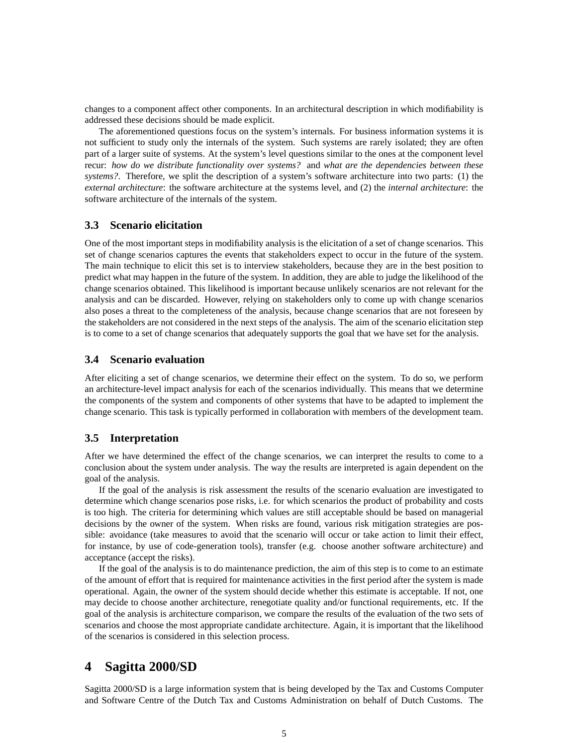changes to a component affect other components. In an architectural description in which modifiability is addressed these decisions should be made explicit.

The aforementioned questions focus on the system's internals. For business information systems it is not sufficient to study only the internals of the system. Such systems are rarely isolated; they are often part of a larger suite of systems. At the system's level questions similar to the ones at the component level recur: *how do we distribute functionality over systems?* and *what are the dependencies between these systems?*. Therefore, we split the description of a system's software architecture into two parts: (1) the *external architecture*: the software architecture at the systems level, and (2) the *internal architecture*: the software architecture of the internals of the system.

#### **3.3 Scenario elicitation**

One of the most important steps in modifiability analysis is the elicitation of a set of change scenarios. This set of change scenarios captures the events that stakeholders expect to occur in the future of the system. The main technique to elicit this set is to interview stakeholders, because they are in the best position to predict what may happen in the future of the system. In addition, they are able to judge the likelihood of the change scenarios obtained. This likelihood is important because unlikely scenarios are not relevant for the analysis and can be discarded. However, relying on stakeholders only to come up with change scenarios also poses a threat to the completeness of the analysis, because change scenarios that are not foreseen by the stakeholders are not considered in the next steps of the analysis. The aim of the scenario elicitation step is to come to a set of change scenarios that adequately supports the goal that we have set for the analysis.

#### **3.4 Scenario evaluation**

After eliciting a set of change scenarios, we determine their effect on the system. To do so, we perform an architecture-level impact analysis for each of the scenarios individually. This means that we determine the components of the system and components of other systems that have to be adapted to implement the change scenario. This task is typically performed in collaboration with members of the development team.

#### **3.5 Interpretation**

After we have determined the effect of the change scenarios, we can interpret the results to come to a conclusion about the system under analysis. The way the results are interpreted is again dependent on the goal of the analysis.

If the goal of the analysis is risk assessment the results of the scenario evaluation are investigated to determine which change scenarios pose risks, i.e. for which scenarios the product of probability and costs is too high. The criteria for determining which values are still acceptable should be based on managerial decisions by the owner of the system. When risks are found, various risk mitigation strategies are possible: avoidance (take measures to avoid that the scenario will occur or take action to limit their effect, for instance, by use of code-generation tools), transfer (e.g. choose another software architecture) and acceptance (accept the risks).

If the goal of the analysis is to do maintenance prediction, the aim of this step is to come to an estimate of the amount of effort that is required for maintenance activities in the first period after the system is made operational. Again, the owner of the system should decide whether this estimate is acceptable. If not, one may decide to choose another architecture, renegotiate quality and/or functional requirements, etc. If the goal of the analysis is architecture comparison, we compare the results of the evaluation of the two sets of scenarios and choose the most appropriate candidate architecture. Again, it is important that the likelihood of the scenarios is considered in this selection process.

### **4 Sagitta 2000/SD**

Sagitta 2000/SD is a large information system that is being developed by the Tax and Customs Computer and Software Centre of the Dutch Tax and Customs Administration on behalf of Dutch Customs. The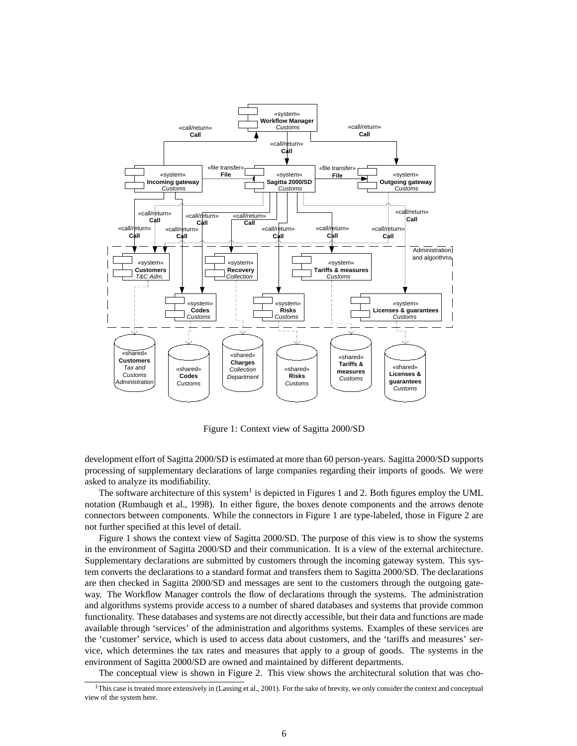

Figure 1: Context view of Sagitta 2000/SD

development effort of Sagitta 2000/SD is estimated at more than 60 person-years. Sagitta 2000/SD supports processing of supplementary declarations of large companies regarding their imports of goods. We were asked to analyze its modifiability.

The software architecture of this system<sup>1</sup> is depicted in Figures 1 and 2. Both figures employ the UML notation (Rumbaugh et al., 1998). In either figure, the boxes denote components and the arrows denote connectors between components. While the connectors in Figure 1 are type-labeled, those in Figure 2 are not further specified at this level of detail.

Figure 1 shows the context view of Sagitta 2000/SD. The purpose of this view is to show the systems in the environment of Sagitta 2000/SD and their communication. It is a view of the external architecture. Supplementary declarations are submitted by customers through the incoming gateway system. This system converts the declarations to a standard format and transfers them to Sagitta 2000/SD. The declarations are then checked in Sagitta 2000/SD and messages are sent to the customers through the outgoing gateway. The Workflow Manager controls the flow of declarations through the systems. The administration and algorithms systems provide access to a number of shared databases and systems that provide common functionality. These databases and systems are not directly accessible, but their data and functions are made available through 'services' of the administration and algorithms systems. Examples of these services are the 'customer' service, which is used to access data about customers, and the 'tariffs and measures' service, which determines the tax rates and measures that apply to a group of goods. The systems in the environment of Sagitta 2000/SD are owned and maintained by different departments.

The conceptual view is shown in Figure 2. This view shows the architectural solution that was cho-

<sup>&</sup>lt;sup>1</sup>This case is treated more extensively in (Lassing et al., 2001). For the sake of brevity, we only consider the context and conceptual view of the system here.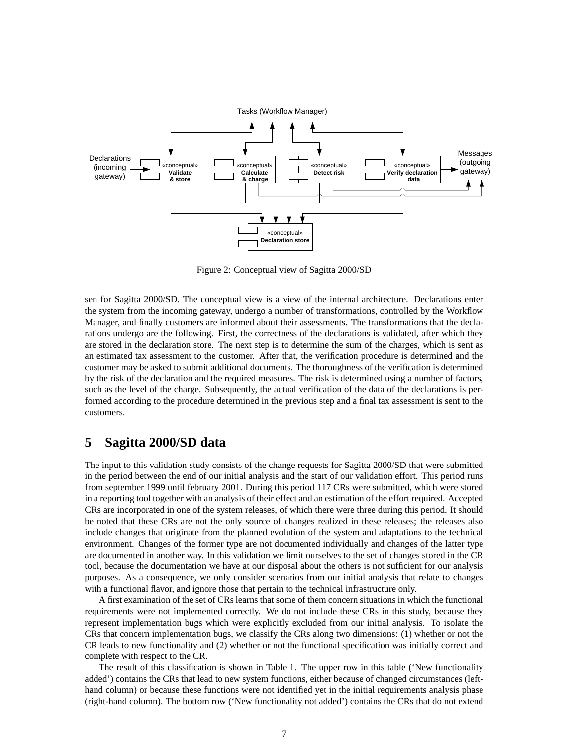

Figure 2: Conceptual view of Sagitta 2000/SD

sen for Sagitta 2000/SD. The conceptual view is a view of the internal architecture. Declarations enter the system from the incoming gateway, undergo a number of transformations, controlled by the Workflow Manager, and finally customers are informed about their assessments. The transformations that the declarations undergo are the following. First, the correctness of the declarations is validated, after which they are stored in the declaration store. The next step is to determine the sum of the charges, which is sent as an estimated tax assessment to the customer. After that, the verification procedure is determined and the customer may be asked to submit additional documents. The thoroughness of the verification is determined by the risk of the declaration and the required measures. The risk is determined using a number of factors, such as the level of the charge. Subsequently, the actual verification of the data of the declarations is performed according to the procedure determined in the previous step and a final tax assessment is sent to the customers.

# **5 Sagitta 2000/SD data**

The input to this validation study consists of the change requests for Sagitta 2000/SD that were submitted in the period between the end of our initial analysis and the start of our validation effort. This period runs from september 1999 until february 2001. During this period 117 CRs were submitted, which were stored in a reporting tool together with an analysis of their effect and an estimation of the effort required. Accepted CRs are incorporated in one of the system releases, of which there were three during this period. It should be noted that these CRs are not the only source of changes realized in these releases; the releases also include changes that originate from the planned evolution of the system and adaptations to the technical environment. Changes of the former type are not documented individually and changes of the latter type are documented in another way. In this validation we limit ourselves to the set of changes stored in the CR tool, because the documentation we have at our disposal about the others is not sufficient for our analysis purposes. As a consequence, we only consider scenarios from our initial analysis that relate to changes with a functional flavor, and ignore those that pertain to the technical infrastructure only.

A first examination of the set of CRs learns that some of them concern situations in which the functional requirements were not implemented correctly. We do not include these CRs in this study, because they represent implementation bugs which were explicitly excluded from our initial analysis. To isolate the CRs that concern implementation bugs, we classify the CRs along two dimensions: (1) whether or not the CR leads to new functionality and (2) whether or not the functional specification was initially correct and complete with respect to the CR.

The result of this classification is shown in Table 1. The upper row in this table ('New functionality added') contains the CRs that lead to new system functions, either because of changed circumstances (lefthand column) or because these functions were not identified yet in the initial requirements analysis phase (right-hand column). The bottom row ('New functionality not added') contains the CRs that do not extend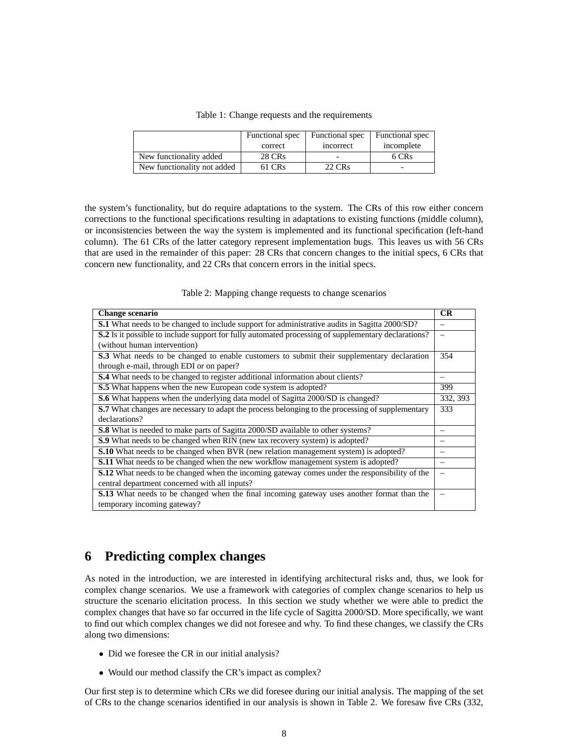|                             | Functional spec | Functional spec | Functional spec |
|-----------------------------|-----------------|-----------------|-----------------|
|                             | correct         | incorrect       | incomplete      |
| New functionality added     | 28 CRs          |                 | 6 CRs           |
| New functionality not added | $61$ CRs        | 22 CRs          |                 |

Table 1: Change requests and the requirements

the system's functionality, but do require adaptations to the system. The CRs of this row either concern corrections to the functional specifications resulting in adaptations to existing functions (middle column), or inconsistencies between the way the system is implemented and its functional specification (left-hand column). The 61 CRs of the latter category represent implementation bugs. This leaves us with 56 CRs that are used in the remainder of this paper: 28 CRs that concern changes to the initial specs, 6 CRs that concern new functionality, and 22 CRs that concern errors in the initial specs.

Table 2: Mapping change requests to change scenarios

| Change scenario                                                                                            | CR       |
|------------------------------------------------------------------------------------------------------------|----------|
| S.1 What needs to be changed to include support for administrative audits in Sagitta 2000/SD?              |          |
| <b>S.2</b> Is it possible to include support for fully automated processing of supplementary declarations? |          |
| (without human intervention)                                                                               |          |
| <b>S.3</b> What needs to be changed to enable customers to submit their supplementary declaration          | 354      |
| through e-mail, through EDI or on paper?                                                                   |          |
| S.4 What needs to be changed to register additional information about clients?                             |          |
| <b>S.5</b> What happens when the new European code system is adopted?                                      | 399      |
| S.6 What happens when the underlying data model of Sagitta 2000/SD is changed?                             | 332, 393 |
| <b>S.7</b> What changes are necessary to adapt the process belonging to the processing of supplementary    | 333      |
| declarations?                                                                                              |          |
| <b>S.8</b> What is needed to make parts of Sagitta 2000/SD available to other systems?                     |          |
| <b>S.9</b> What needs to be changed when RIN (new tax recovery system) is adopted?                         | -        |
| <b>S.10</b> What needs to be changed when BVR (new relation management system) is adopted?                 |          |
| S.11 What needs to be changed when the new workflow management system is adopted?                          |          |
| S.12 What needs to be changed when the incoming gateway comes under the responsibility of the              |          |
| central department concerned with all inputs?                                                              |          |
| <b>S.13</b> What needs to be changed when the final incoming gateway uses another format than the          | -        |
| temporary incoming gateway?                                                                                |          |

# **6 Predicting complex changes**

As noted in the introduction, we are interested in identifying architectural risks and, thus, we look for complex change scenarios. We use a framework with categories of complex change scenarios to help us structure the scenario elicitation process. In this section we study whether we were able to predict the complex changes that have so far occurred in the life cycle of Sagitta 2000/SD. More specifically, we want to find out which complex changes we did not foresee and why. To find these changes, we classify the CRs along two dimensions:

- Did we foresee the CR in our initial analysis?
- Would our method classify the CR's impact as complex?

Our first step is to determine which CRs we did foresee during our initial analysis. The mapping of the set of CRs to the change scenarios identified in our analysis is shown in Table 2. We foresaw five CRs (332,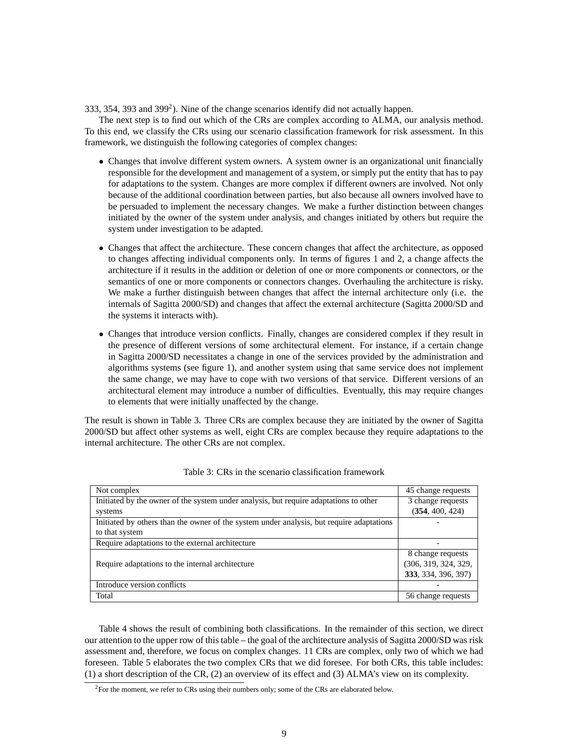333, 354, 393 and 399 $2$ ). Nine of the change scenarios identify did not actually happen.

The next step is to find out which of the CRs are complex according to ALMA, our analysis method. To this end, we classify the CRs using our scenario classification framework for risk assessment. In this framework, we distinguish the following categories of complex changes:

- Changes that involve different system owners. A system owner is an organizational unit financially responsible for the development and management of a system, or simply put the entity that has to pay for adaptations to the system. Changes are more complex if different owners are involved. Not only because of the additional coordination between parties, but also because all owners involved have to be persuaded to implement the necessary changes. We make a further distinction between changes initiated by the owner of the system under analysis, and changes initiated by others but require the system under investigation to be adapted.
- Changes that affect the architecture. These concern changes that affect the architecture, as opposed to changes affecting individual components only. In terms of figures 1 and 2, a change affects the architecture if it results in the addition or deletion of one or more components or connectors, or the semantics of one or more components or connectors changes. Overhauling the architecture is risky. We make a further distinguish between changes that affect the internal architecture only (i.e. the internals of Sagitta 2000/SD) and changes that affect the external architecture (Sagitta 2000/SD and the systems it interacts with).
- Changes that introduce version conflicts. Finally, changes are considered complex if they result in the presence of different versions of some architectural element. For instance, if a certain change in Sagitta 2000/SD necessitates a change in one of the services provided by the administration and algorithms systems (see figure 1), and another system using that same service does not implement the same change, we may have to cope with two versions of that service. Different versions of an architectural element may introduce a number of difficulties. Eventually, this may require changes to elements that were initially unaffected by the change.

The result is shown in Table 3. Three CRs are complex because they are initiated by the owner of Sagitta 2000/SD but affect other systems as well, eight CRs are complex because they require adaptations to the internal architecture. The other CRs are not complex.

| Not complex                                                                              | 45 change requests   |
|------------------------------------------------------------------------------------------|----------------------|
| Initiated by the owner of the system under analysis, but require adaptations to other    | 3 change requests    |
| systems                                                                                  | (354, 400, 424)      |
| Initiated by others than the owner of the system under analysis, but require adaptations |                      |
| to that system                                                                           |                      |
| Require adaptations to the external architecture                                         |                      |
|                                                                                          | 8 change requests    |
| Require adaptations to the internal architecture                                         | (306, 319, 324, 329, |
|                                                                                          | 333, 334, 396, 397)  |
| Introduce version conflicts                                                              |                      |
| Total                                                                                    | 56 change requests   |

Table 3: CRs in the scenario classification framework

Table 4 shows the result of combining both classifications. In the remainder of this section, we direct our attention to the upper row of this table – the goal of the architecture analysis of Sagitta 2000/SD was risk assessment and, therefore, we focus on complex changes. 11 CRs are complex, only two of which we had foreseen. Table 5 elaborates the two complex CRs that we did foresee. For both CRs, this table includes: (1) a short description of the CR, (2) an overview of its effect and (3) ALMA's view on its complexity.

 ${}^{2}$ For the moment, we refer to CRs using their numbers only; some of the CRs are elaborated below.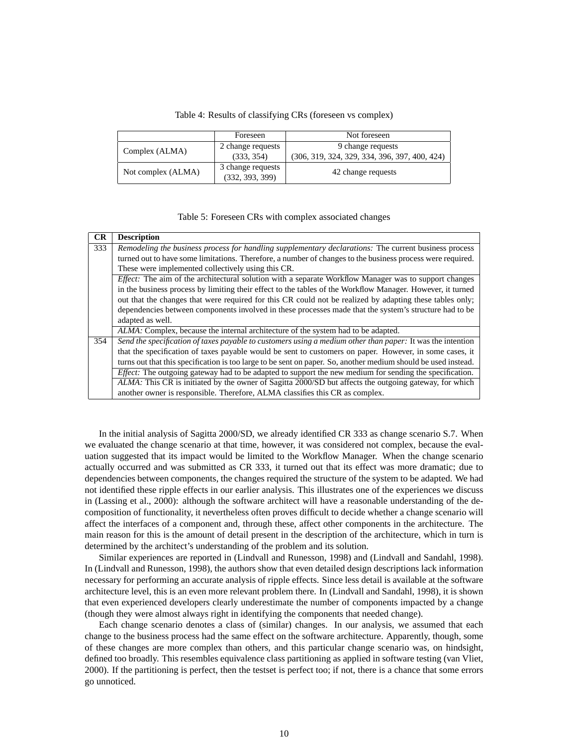|                    | Foreseen                             | Not foreseen                                                       |
|--------------------|--------------------------------------|--------------------------------------------------------------------|
| Complex (ALMA)     | 2 change requests<br>(333, 354)      | 9 change requests<br>(306, 319, 324, 329, 334, 396, 397, 400, 424) |
| Not complex (ALMA) | 3 change requests<br>(332, 393, 399) | 42 change requests                                                 |

Table 4: Results of classifying CRs (foreseen vs complex)

Table 5: Foreseen CRs with complex associated changes

| CR  | <b>Description</b>                                                                                             |
|-----|----------------------------------------------------------------------------------------------------------------|
| 333 | Remodeling the business process for handling supplementary declarations: The current business process          |
|     | turned out to have some limitations. Therefore, a number of changes to the business process were required.     |
|     | These were implemented collectively using this CR.                                                             |
|     | Effect: The aim of the architectural solution with a separate Workflow Manager was to support changes          |
|     | in the business process by limiting their effect to the tables of the Workflow Manager. However, it turned     |
|     | out that the changes that were required for this CR could not be realized by adapting these tables only;       |
|     | dependencies between components involved in these processes made that the system's structure had to be         |
|     | adapted as well.                                                                                               |
|     | ALMA: Complex, because the internal architecture of the system had to be adapted.                              |
| 354 | Send the specification of taxes payable to customers using a medium other than paper: It was the intention     |
|     | that the specification of taxes payable would be sent to customers on paper. However, in some cases, it        |
|     | turns out that this specification is too large to be sent on paper. So, another medium should be used instead. |
|     | <i>Effect:</i> The outgoing gateway had to be adapted to support the new medium for sending the specification. |
|     | ALMA: This CR is initiated by the owner of Sagitta 2000/SD but affects the outgoing gateway, for which         |
|     | another owner is responsible. Therefore, ALMA classifies this CR as complex.                                   |

In the initial analysis of Sagitta 2000/SD, we already identified CR 333 as change scenario S.7. When we evaluated the change scenario at that time, however, it was considered not complex, because the evaluation suggested that its impact would be limited to the Workflow Manager. When the change scenario actually occurred and was submitted as CR 333, it turned out that its effect was more dramatic; due to dependencies between components, the changes required the structure of the system to be adapted. We had not identified these ripple effects in our earlier analysis. This illustrates one of the experiences we discuss in (Lassing et al., 2000): although the software architect will have a reasonable understanding of the decomposition of functionality, it nevertheless often proves difficult to decide whether a change scenario will affect the interfaces of a component and, through these, affect other components in the architecture. The main reason for this is the amount of detail present in the description of the architecture, which in turn is determined by the architect's understanding of the problem and its solution.

Similar experiences are reported in (Lindvall and Runesson, 1998) and (Lindvall and Sandahl, 1998). In (Lindvall and Runesson, 1998), the authors show that even detailed design descriptions lack information necessary for performing an accurate analysis of ripple effects. Since less detail is available at the software architecture level, this is an even more relevant problem there. In (Lindvall and Sandahl, 1998), it is shown that even experienced developers clearly underestimate the number of components impacted by a change (though they were almost always right in identifying the components that needed change).

Each change scenario denotes a class of (similar) changes. In our analysis, we assumed that each change to the business process had the same effect on the software architecture. Apparently, though, some of these changes are more complex than others, and this particular change scenario was, on hindsight, defined too broadly. This resembles equivalence class partitioning as applied in software testing (van Vliet, 2000). If the partitioning is perfect, then the testset is perfect too; if not, there is a chance that some errors go unnoticed.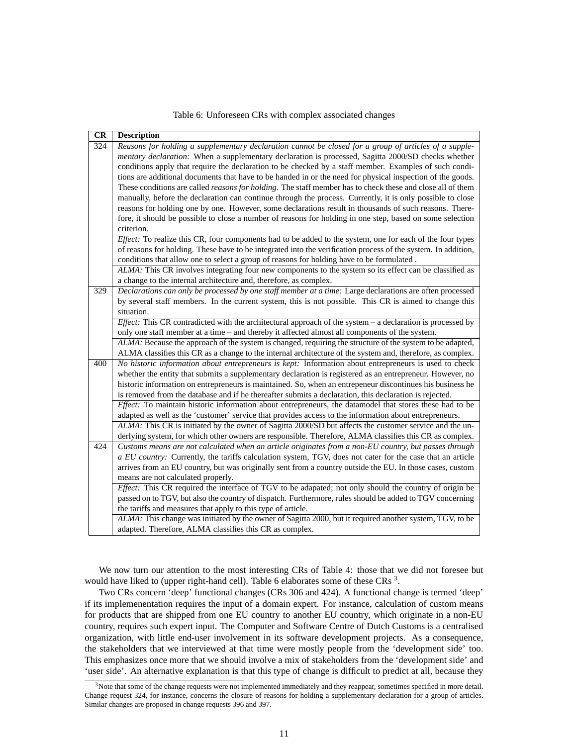| Table 6: Unforeseen CRs with complex associated changes |  |  |  |  |
|---------------------------------------------------------|--|--|--|--|
|---------------------------------------------------------|--|--|--|--|

| CR  | <b>Description</b>                                                                                                 |
|-----|--------------------------------------------------------------------------------------------------------------------|
| 324 | Reasons for holding a supplementary declaration cannot be closed for a group of articles of a supple-              |
|     | mentary declaration: When a supplementary declaration is processed, Sagitta 2000/SD checks whether                 |
|     | conditions apply that require the declaration to be checked by a staff member. Examples of such condi-             |
|     | tions are additional documents that have to be handed in or the need for physical inspection of the goods.         |
|     | These conditions are called <i>reasons for holding</i> . The staff member has to check these and close all of them |
|     | manually, before the declaration can continue through the process. Currently, it is only possible to close         |
|     | reasons for holding one by one. However, some declarations result in thousands of such reasons. There-             |
|     | fore, it should be possible to close a number of reasons for holding in one step, based on some selection          |
|     | criterion.                                                                                                         |
|     | Effect: To realize this CR, four components had to be added to the system, one for each of the four types          |
|     | of reasons for holding. These have to be integrated into the verification process of the system. In addition,      |
|     | conditions that allow one to select a group of reasons for holding have to be formulated .                         |
|     | ALMA: This CR involves integrating four new components to the system so its effect can be classified as            |
|     | a change to the internal architecture and, therefore, as complex.                                                  |
| 329 | Declarations can only be processed by one staff member at a time: Large declarations are often processed           |
|     | by several staff members. In the current system, this is not possible. This CR is aimed to change this             |
|     | situation.                                                                                                         |
|     | <i>Effect:</i> This CR contradicted with the architectural approach of the system – a declaration is processed by  |
|     | only one staff member at a time – and thereby it affected almost all components of the system.                     |
|     | ALMA: Because the approach of the system is changed, requiring the structure of the system to be adapted,          |
|     | ALMA classifies this CR as a change to the internal architecture of the system and, therefore, as complex.         |
| 400 | No historic information about entrepreneurs is kept: Information about entrepreneurs is used to check              |
|     | whether the entity that submits a supplementary declaration is registered as an entrepreneur. However, no          |
|     | historic information on entrepreneurs is maintained. So, when an entrepeneur discontinues his business he          |
|     | is removed from the database and if he thereafter submits a declaration, this declaration is rejected.             |
|     | Effect: To maintain historic information about entrepreneurs, the datamodel that stores these had to be            |
|     | adapted as well as the 'customer' service that provides access to the information about entrepreneurs.             |
|     | ALMA: This CR is initiated by the owner of Sagitta 2000/SD but affects the customer service and the un-            |
|     | derlying system, for which other owners are responsible. Therefore, ALMA classifies this CR as complex.            |
| 424 | Customs means are not calculated when an article originates from a non-EU country, but passes through              |
|     | a EU country: Currently, the tariffs calculation system, TGV, does not cater for the case that an article          |
|     | arrives from an EU country, but was originally sent from a country outside the EU. In those cases, custom          |
|     | means are not calculated properly.                                                                                 |
|     | Effect: This CR required the interface of TGV to be adapated; not only should the country of origin be             |
|     | passed on to TGV, but also the country of dispatch. Furthermore, rules should be added to TGV concerning           |
|     | the tariffs and measures that apply to this type of article.                                                       |
|     | ALMA: This change was initiated by the owner of Sagitta 2000, but it required another system, TGV, to be           |
|     | adapted. Therefore, ALMA classifies this CR as complex.                                                            |

We now turn our attention to the most interesting CRs of Table 4: those that we did not foresee but would have liked to (upper right-hand cell). Table 6 elaborates some of these CRs<sup>3</sup>.

Two CRs concern 'deep' functional changes (CRs 306 and 424). A functional change is termed 'deep' if its implemenentation requires the input of a domain expert. For instance, calculation of custom means for products that are shipped from one EU country to another EU country, which originate in a non-EU country, requires such expert input. The Computer and Software Centre of Dutch Customs is a centralised organization, with little end-user involvement in its software development projects. As a consequence, the stakeholders that we interviewed at that time were mostly people from the 'development side' too. This emphasizes once more that we should involve a mix of stakeholders from the 'development side' and 'user side'. An alternative explanation is that this type of change is difficult to predict at all, because they

<sup>&</sup>lt;sup>3</sup>Note that some of the change requests were not implemented immediately and they reappear, sometimes specified in more detail. Change request 324, for instance, concerns the closure of reasons for holding a supplementary declaration for a group of articles. Similar changes are proposed in change requests 396 and 397.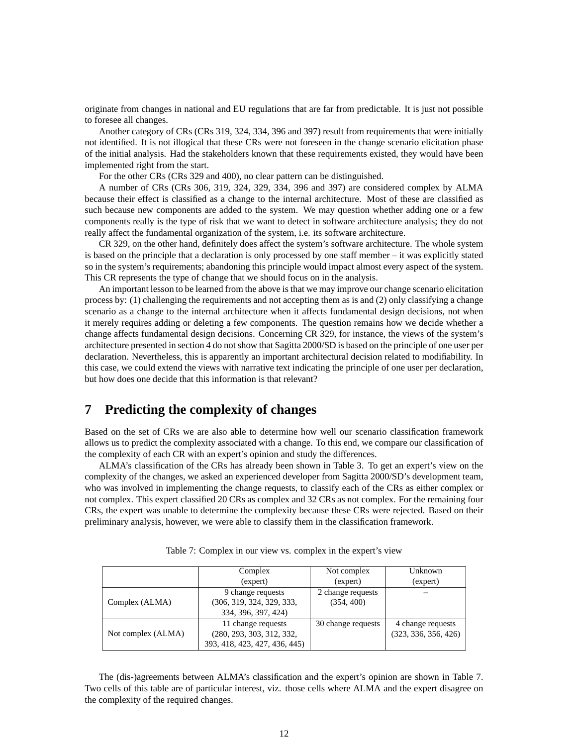originate from changes in national and EU regulations that are far from predictable. It is just not possible to foresee all changes.

Another category of CRs (CRs 319, 324, 334, 396 and 397) result from requirements that were initially not identified. It is not illogical that these CRs were not foreseen in the change scenario elicitation phase of the initial analysis. Had the stakeholders known that these requirements existed, they would have been implemented right from the start.

For the other CRs (CRs 329 and 400), no clear pattern can be distinguished.

A number of CRs (CRs 306, 319, 324, 329, 334, 396 and 397) are considered complex by ALMA because their effect is classified as a change to the internal architecture. Most of these are classified as such because new components are added to the system. We may question whether adding one or a few components really is the type of risk that we want to detect in software architecture analysis; they do not really affect the fundamental organization of the system, i.e. its software architecture.

CR 329, on the other hand, definitely does affect the system's software architecture. The whole system is based on the principle that a declaration is only processed by one staff member – it was explicitly stated so in the system's requirements; abandoning this principle would impact almost every aspect of the system. This CR represents the type of change that we should focus on in the analysis.

An important lesson to be learned from the above is that we may improve our change scenario elicitation process by: (1) challenging the requirements and not accepting them as is and (2) only classifying a change scenario as a change to the internal architecture when it affects fundamental design decisions, not when it merely requires adding or deleting a few components. The question remains how we decide whether a change affects fundamental design decisions. Concerning CR 329, for instance, the views of the system's architecture presented in section 4 do not show that Sagitta 2000/SD is based on the principle of one user per declaration. Nevertheless, this is apparently an important architectural decision related to modifiability. In this case, we could extend the views with narrative text indicating the principle of one user per declaration, but how does one decide that this information is that relevant?

# **7 Predicting the complexity of changes**

Based on the set of CRs we are also able to determine how well our scenario classification framework allows us to predict the complexity associated with a change. To this end, we compare our classification of the complexity of each CR with an expert's opinion and study the differences.

ALMA's classification of the CRs has already been shown in Table 3. To get an expert's view on the complexity of the changes, we asked an experienced developer from Sagitta 2000/SD's development team, who was involved in implementing the change requests, to classify each of the CRs as either complex or not complex. This expert classified 20 CRs as complex and 32 CRs as not complex. For the remaining four CRs, the expert was unable to determine the complexity because these CRs were rejected. Based on their preliminary analysis, however, we were able to classify them in the classification framework.

|                    | Complex                       | Not complex        | Unknown              |
|--------------------|-------------------------------|--------------------|----------------------|
|                    | (expert)                      | (expert)           | (expert)             |
|                    | 9 change requests             | 2 change requests  |                      |
| Complex (ALMA)     | (306, 319, 324, 329, 333,     | (354, 400)         |                      |
|                    | 334, 396, 397, 424)           |                    |                      |
|                    | 11 change requests            | 30 change requests | 4 change requests    |
| Not complex (ALMA) | (280, 293, 303, 312, 332,     |                    | (323, 336, 356, 426) |
|                    | 393, 418, 423, 427, 436, 445) |                    |                      |

Table 7: Complex in our view vs. complex in the expert's view

The (dis-)agreements between ALMA's classification and the expert's opinion are shown in Table 7. Two cells of this table are of particular interest, viz. those cells where ALMA and the expert disagree on the complexity of the required changes.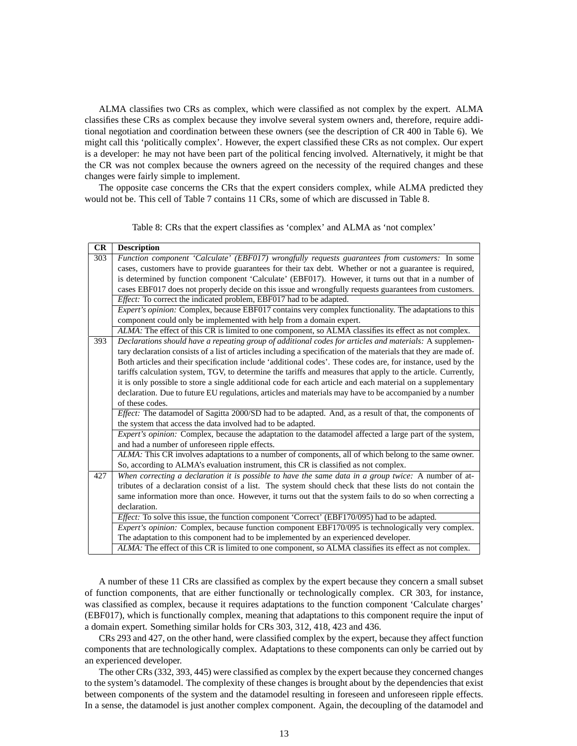ALMA classifies two CRs as complex, which were classified as not complex by the expert. ALMA classifies these CRs as complex because they involve several system owners and, therefore, require additional negotiation and coordination between these owners (see the description of CR 400 in Table 6). We might call this 'politically complex'. However, the expert classified these CRs as not complex. Our expert is a developer: he may not have been part of the political fencing involved. Alternatively, it might be that the CR was not complex because the owners agreed on the necessity of the required changes and these changes were fairly simple to implement.

The opposite case concerns the CRs that the expert considers complex, while ALMA predicted they would not be. This cell of Table 7 contains 11 CRs, some of which are discussed in Table 8.

Table 8: CRs that the expert classifies as 'complex' and ALMA as 'not complex'

| <b>CR</b> | <b>Description</b>                                                                                                |
|-----------|-------------------------------------------------------------------------------------------------------------------|
| 303       | Function component 'Calculate' (EBF017) wrongfully requests guarantees from customers: In some                    |
|           | cases, customers have to provide guarantees for their tax debt. Whether or not a guarantee is required,           |
|           | is determined by function component 'Calculate' (EBF017). However, it turns out that in a number of               |
|           | cases EBF017 does not properly decide on this issue and wrongfully requests guarantees from customers.            |
|           | Effect: To correct the indicated problem, EBF017 had to be adapted.                                               |
|           | Expert's opinion: Complex, because EBF017 contains very complex functionality. The adaptations to this            |
|           | component could only be implemented with help from a domain expert.                                               |
|           | ALMA: The effect of this CR is limited to one component, so ALMA classifies its effect as not complex.            |
| 393       | Declarations should have a repeating group of additional codes for articles and materials: A supplemen-           |
|           | tary declaration consists of a list of articles including a specification of the materials that they are made of. |
|           | Both articles and their specification include 'additional codes'. These codes are, for instance, used by the      |
|           | tariffs calculation system, TGV, to determine the tariffs and measures that apply to the article. Currently,      |
|           | it is only possible to store a single additional code for each article and each material on a supplementary       |
|           | declaration. Due to future EU regulations, articles and materials may have to be accompanied by a number          |
|           | of these codes.                                                                                                   |
|           | Effect: The datamodel of Sagitta 2000/SD had to be adapted. And, as a result of that, the components of           |
|           | the system that access the data involved had to be adapted.                                                       |
|           | Expert's opinion: Complex, because the adaptation to the datamodel affected a large part of the system,           |
|           | and had a number of unforeseen ripple effects.                                                                    |
|           | ALMA: This CR involves adaptations to a number of components, all of which belong to the same owner.              |
|           | So, according to ALMA's evaluation instrument, this CR is classified as not complex.                              |
| 427       | When correcting a declaration it is possible to have the same data in a group twice: A number of at-              |
|           | tributes of a declaration consist of a list. The system should check that these lists do not contain the          |
|           | same information more than once. However, it turns out that the system fails to do so when correcting a           |
|           | declaration.                                                                                                      |
|           | Effect: To solve this issue, the function component 'Correct' (EBF170/095) had to be adapted.                     |
|           | Expert's opinion: Complex, because function component EBF170/095 is technologically very complex.                 |
|           | The adaptation to this component had to be implemented by an experienced developer.                               |
|           | ALMA: The effect of this CR is limited to one component, so ALMA classifies its effect as not complex.            |

A number of these 11 CRs are classified as complex by the expert because they concern a small subset of function components, that are either functionally or technologically complex. CR 303, for instance, was classified as complex, because it requires adaptations to the function component 'Calculate charges' (EBF017), which is functionally complex, meaning that adaptations to this component require the input of a domain expert. Something similar holds for CRs 303, 312, 418, 423 and 436.

CRs 293 and 427, on the other hand, were classified complex by the expert, because they affect function components that are technologically complex. Adaptations to these components can only be carried out by an experienced developer.

The other CRs (332, 393, 445) were classified as complex by the expert because they concerned changes to the system's datamodel. The complexity of these changes is brought about by the dependencies that exist between components of the system and the datamodel resulting in foreseen and unforeseen ripple effects. In a sense, the datamodel is just another complex component. Again, the decoupling of the datamodel and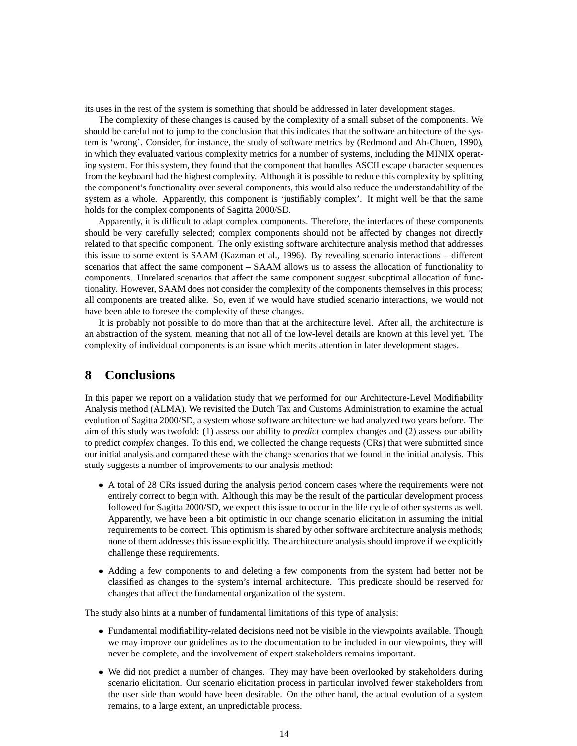its uses in the rest of the system is something that should be addressed in later development stages.

The complexity of these changes is caused by the complexity of a small subset of the components. We should be careful not to jump to the conclusion that this indicates that the software architecture of the system is 'wrong'. Consider, for instance, the study of software metrics by (Redmond and Ah-Chuen, 1990), in which they evaluated various complexity metrics for a number of systems, including the MINIX operating system. For this system, they found that the component that handles ASCII escape character sequences from the keyboard had the highest complexity. Although it is possible to reduce this complexity by splitting the component's functionality over several components, this would also reduce the understandability of the system as a whole. Apparently, this component is 'justifiably complex'. It might well be that the same holds for the complex components of Sagitta 2000/SD.

Apparently, it is difficult to adapt complex components. Therefore, the interfaces of these components should be very carefully selected; complex components should not be affected by changes not directly related to that specific component. The only existing software architecture analysis method that addresses this issue to some extent is SAAM (Kazman et al., 1996). By revealing scenario interactions – different scenarios that affect the same component – SAAM allows us to assess the allocation of functionality to components. Unrelated scenarios that affect the same component suggest suboptimal allocation of functionality. However, SAAM does not consider the complexity of the components themselves in this process; all components are treated alike. So, even if we would have studied scenario interactions, we would not have been able to foresee the complexity of these changes.

It is probably not possible to do more than that at the architecture level. After all, the architecture is an abstraction of the system, meaning that not all of the low-level details are known at this level yet. The complexity of individual components is an issue which merits attention in later development stages.

### **8 Conclusions**

In this paper we report on a validation study that we performed for our Architecture-Level Modifiability Analysis method (ALMA). We revisited the Dutch Tax and Customs Administration to examine the actual evolution of Sagitta 2000/SD, a system whose software architecture we had analyzed two years before. The aim of this study was twofold: (1) assess our ability to *predict* complex changes and (2) assess our ability to predict *complex* changes. To this end, we collected the change requests (CRs) that were submitted since our initial analysis and compared these with the change scenarios that we found in the initial analysis. This study suggests a number of improvements to our analysis method:

- A total of 28 CRs issued during the analysis period concern cases where the requirements were not entirely correct to begin with. Although this may be the result of the particular development process followed for Sagitta 2000/SD, we expect this issue to occur in the life cycle of other systems as well. Apparently, we have been a bit optimistic in our change scenario elicitation in assuming the initial requirements to be correct. This optimism is shared by other software architecture analysis methods; none of them addresses this issue explicitly. The architecture analysis should improve if we explicitly challenge these requirements.
- Adding a few components to and deleting a few components from the system had better not be classified as changes to the system's internal architecture. This predicate should be reserved for changes that affect the fundamental organization of the system.

The study also hints at a number of fundamental limitations of this type of analysis:

- Fundamental modifiability-related decisions need not be visible in the viewpoints available. Though we may improve our guidelines as to the documentation to be included in our viewpoints, they will never be complete, and the involvement of expert stakeholders remains important.
- We did not predict a number of changes. They may have been overlooked by stakeholders during scenario elicitation. Our scenario elicitation process in particular involved fewer stakeholders from the user side than would have been desirable. On the other hand, the actual evolution of a system remains, to a large extent, an unpredictable process.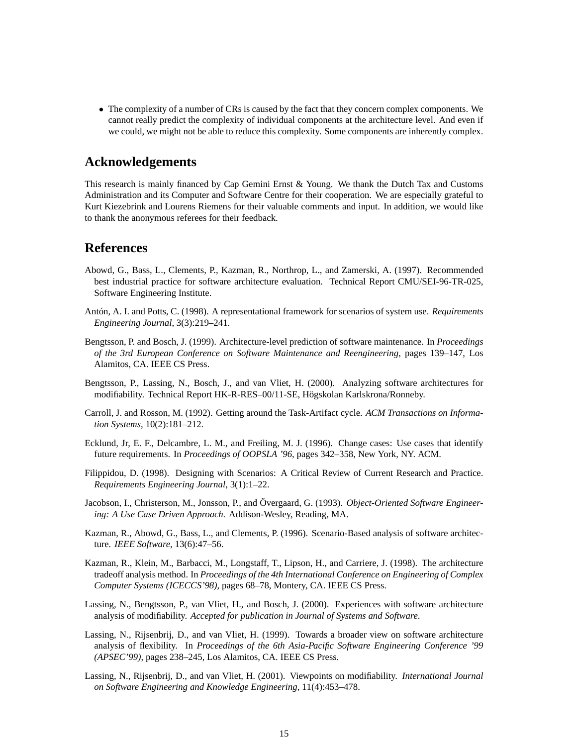• The complexity of a number of CRs is caused by the fact that they concern complex components. We cannot really predict the complexity of individual components at the architecture level. And even if we could, we might not be able to reduce this complexity. Some components are inherently complex.

### **Acknowledgements**

This research is mainly financed by Cap Gemini Ernst & Young. We thank the Dutch Tax and Customs Administration and its Computer and Software Centre for their cooperation. We are especially grateful to Kurt Kiezebrink and Lourens Riemens for their valuable comments and input. In addition, we would like to thank the anonymous referees for their feedback.

### **References**

- Abowd, G., Bass, L., Clements, P., Kazman, R., Northrop, L., and Zamerski, A. (1997). Recommended best industrial practice for software architecture evaluation. Technical Report CMU/SEI-96-TR-025, Software Engineering Institute.
- Antón, A. I. and Potts, C. (1998). A representational framework for scenarios of system use. *Requirements Engineering Journal*, 3(3):219–241.
- Bengtsson, P. and Bosch, J. (1999). Architecture-level prediction of software maintenance. In *Proceedings of the 3rd European Conference on Software Maintenance and Reengineering*, pages 139–147, Los Alamitos, CA. IEEE CS Press.
- Bengtsson, P., Lassing, N., Bosch, J., and van Vliet, H. (2000). Analyzing software architectures for modifiability. Technical Report HK-R-RES–00/11-SE, Högskolan Karlskrona/Ronneby.
- Carroll, J. and Rosson, M. (1992). Getting around the Task-Artifact cycle. *ACM Transactions on Information Systems*, 10(2):181–212.
- Ecklund, Jr, E. F., Delcambre, L. M., and Freiling, M. J. (1996). Change cases: Use cases that identify future requirements. In *Proceedings of OOPSLA '96*, pages 342–358, New York, NY. ACM.
- Filippidou, D. (1998). Designing with Scenarios: A Critical Review of Current Research and Practice. *Requirements Engineering Journal*, 3(1):1–22.
- Jacobson, I., Christerson, M., Jonsson, P., and Övergaard, G. (1993). *Object-Oriented Software Engineering: A Use Case Driven Approach*. Addison-Wesley, Reading, MA.
- Kazman, R., Abowd, G., Bass, L., and Clements, P. (1996). Scenario-Based analysis of software architecture. *IEEE Software*, 13(6):47–56.
- Kazman, R., Klein, M., Barbacci, M., Longstaff, T., Lipson, H., and Carriere, J. (1998). The architecture tradeoff analysis method. In *Proceedings of the 4th International Conference on Engineering of Complex Computer Systems (ICECCS'98)*, pages 68–78, Montery, CA. IEEE CS Press.
- Lassing, N., Bengtsson, P., van Vliet, H., and Bosch, J. (2000). Experiences with software architecture analysis of modifiability. *Accepted for publication in Journal of Systems and Software*.
- Lassing, N., Rijsenbrij, D., and van Vliet, H. (1999). Towards a broader view on software architecture analysis of flexibility. In *Proceedings of the 6th Asia-Pacific Software Engineering Conference '99 (APSEC'99)*, pages 238–245, Los Alamitos, CA. IEEE CS Press.
- Lassing, N., Rijsenbrij, D., and van Vliet, H. (2001). Viewpoints on modifiability. *International Journal on Software Engineering and Knowledge Engineering*, 11(4):453–478.